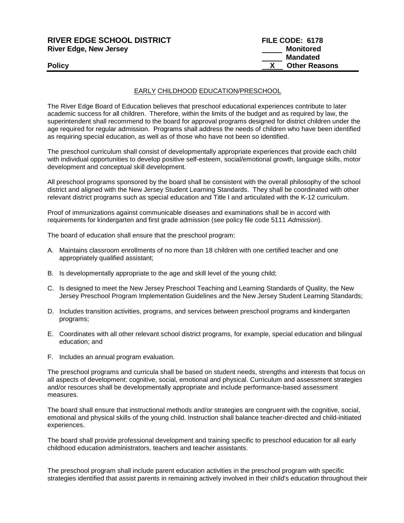| <b>RIVER EDGE SCHOOL DISTRICT</b> | FILE CODE: 6178      |
|-----------------------------------|----------------------|
| <b>River Edge, New Jersey</b>     | Monitored            |
|                                   | <b>Mandated</b>      |
| <b>Policy</b>                     | <b>Other Reasons</b> |
|                                   |                      |

## EARLY CHILDHOOD EDUCATION/PRESCHOOL

The River Edge Board of Education believes that preschool educational experiences contribute to later academic success for all children. Therefore, within the limits of the budget and as required by law, the superintendent shall recommend to the board for approval programs designed for district children under the age required for regular admission. Programs shall address the needs of children who have been identified as requiring special education, as well as of those who have not been so identified.

The preschool curriculum shall consist of developmentally appropriate experiences that provide each child with individual opportunities to develop positive self-esteem, social/emotional growth, language skills, motor development and conceptual skill development.

All preschool programs sponsored by the board shall be consistent with the overall philosophy of the school district and aligned with the New Jersey Student Learning Standards. They shall be coordinated with other relevant district programs such as special education and Title I and articulated with the K-12 curriculum.

Proof of immunizations against communicable diseases and examinations shall be in accord with requirements for kindergarten and first grade admission (see policy file code 5111 *Admission*).

The board of education shall ensure that the preschool program:

- A. Maintains classroom enrollments of no more than 18 children with one certified teacher and one appropriately qualified assistant;
- B. Is developmentally appropriate to the age and skill level of the young child;
- C. Is designed to meet the New Jersey Preschool Teaching and Learning Standards of Quality, the New Jersey Preschool Program Implementation Guidelines and the New Jersey Student Learning Standards;
- D. Includes transition activities, programs, and services between preschool programs and kindergarten programs;
- E. Coordinates with all other relevant school district programs, for example, special education and bilingual education; and
- F. Includes an annual program evaluation.

The preschool programs and curricula shall be based on student needs, strengths and interests that focus on all aspects of development: cognitive, social, emotional and physical. Curriculum and assessment strategies and/or resources shall be developmentally appropriate and include performance-based assessment measures.

The board shall ensure that instructional methods and/or strategies are congruent with the cognitive, social, emotional and physical skills of the young child. Instruction shall balance teacher-directed and child-initiated experiences.

The board shall provide professional development and training specific to preschool education for all early childhood education administrators, teachers and teacher assistants.

The preschool program shall include parent education activities in the preschool program with specific strategies identified that assist parents in remaining actively involved in their child's education throughout their